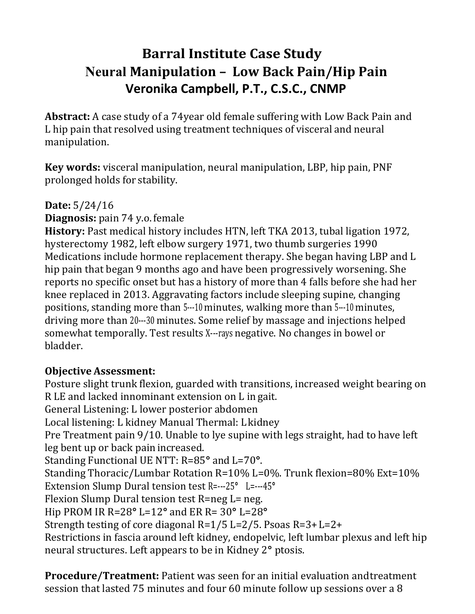# **Barral Institute Case Study Neural Manipulation – Low Back Pain/Hip Pain Veronika Campbell, P.T., C.S.C., CNMP**

**Abstract:** A case study of a 74year old female suffering with Low Back Pain and L hip pain that resolved using treatment techniques of visceral and neural manipulation.

**Key words:** visceral manipulation, neural manipulation, LBP, hip pain, PNF prolonged holds for stability.

### **Date:** 5/24/16

**Diagnosis:** pain 74 y.o. female

**History:** Past medical history includes HTN, left TKA 2013, tubal ligation 1972, hysterectomy 1982, left elbow surgery 1971, two thumb surgeries 1990 Medications include hormone replacement therapy. She began having LBP and L hip pain that began 9 months ago and have been progressively worsening. She reports no specific onset but has a history of more than 4 falls before she had her knee replaced in 2013. Aggravating factors include sleeping supine, changing positions, standing more than 5---10 minutes, walking more than 5---10 minutes, driving more than 20---30 minutes. Some relief by massage and injections helped somewhat temporally. Test results X---rays negative. No changes in bowel or bladder.

## **Objective Assessment:**

Posture slight trunk flexion, guarded with transitions, increased weight bearing on R LE and lacked innominant extension on L in gait. General Listening: L lower posterior abdomen Local listening: L kidney Manual Thermal: L kidney Pre Treatment pain 9/10. Unable to lye supine with legs straight, had to have left leg bent up or back pain increased. Standing Functional UE NTT: R=85**°** and L=70**°**. Standing Thoracic/Lumbar Rotation R=10% L=0%. Trunk flexion=80% Ext=10% Extension Slump Dural tension test R=---25**°** L=---45**°** Flexion Slump Dural tension test R=neg L= neg. Hip PROM IR R=28**°** L=12**°** and ER R= 30**°** L=28**°** Strength testing of core diagonal R=1/5 L=2/5. Psoas R=3+ L=2+ Restrictions in fascia around left kidney, endopelvic, left lumbar plexus and left hip neural structures. Left appears to be in Kidney 2**°** ptosis.

**Procedure/Treatment:** Patient was seen for an initial evaluation and treatment session that lasted 75 minutes and four 60 minute follow up sessions over a 8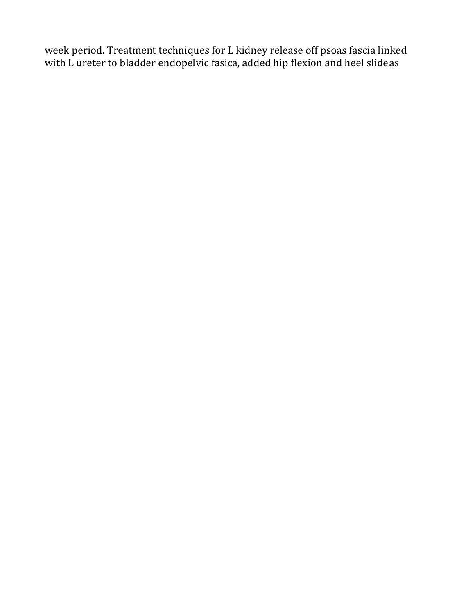week period. Treatment techniques for L kidney release off psoas fascia linked with L ureter to bladder endopelvic fasica, added hip flexion and heel slide as